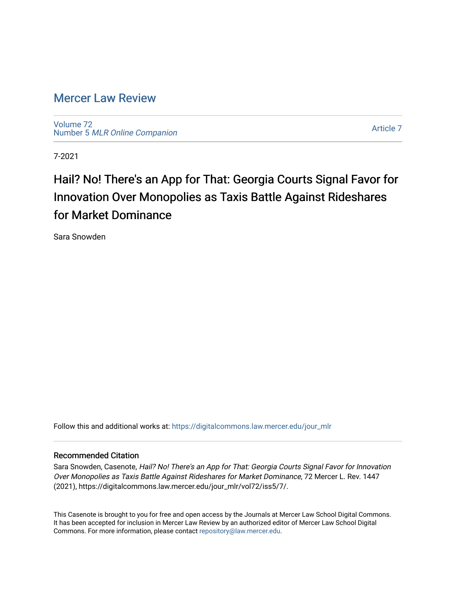## [Mercer Law Review](https://digitalcommons.law.mercer.edu/jour_mlr)

[Volume 72](https://digitalcommons.law.mercer.edu/jour_mlr/vol72) Number 5 [MLR Online Companion](https://digitalcommons.law.mercer.edu/jour_mlr/vol72/iss5) 

[Article 7](https://digitalcommons.law.mercer.edu/jour_mlr/vol72/iss5/7) 

7-2021

# Hail? No! There's an App for That: Georgia Courts Signal Favor for Innovation Over Monopolies as Taxis Battle Against Rideshares for Market Dominance

Sara Snowden

Follow this and additional works at: [https://digitalcommons.law.mercer.edu/jour\\_mlr](https://digitalcommons.law.mercer.edu/jour_mlr?utm_source=digitalcommons.law.mercer.edu%2Fjour_mlr%2Fvol72%2Fiss5%2F7&utm_medium=PDF&utm_campaign=PDFCoverPages)

### Recommended Citation

Sara Snowden, Casenote, Hail? No! There's an App for That: Georgia Courts Signal Favor for Innovation Over Monopolies as Taxis Battle Against Rideshares for Market Dominance, 72 Mercer L. Rev. 1447 (2021), https://digitalcommons.law.mercer.edu/jour\_mlr/vol72/iss5/7/.

This Casenote is brought to you for free and open access by the Journals at Mercer Law School Digital Commons. It has been accepted for inclusion in Mercer Law Review by an authorized editor of Mercer Law School Digital Commons. For more information, please contact [repository@law.mercer.edu.](mailto:repository@law.mercer.edu)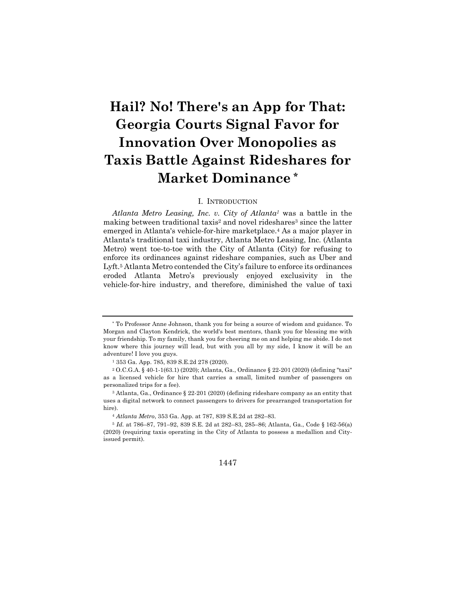# **Hail? No! There's an App for That: Georgia Courts Signal Favor for Innovation Over Monopolies as Taxis Battle Against Rideshares for Market Dominance \***

#### I. INTRODUCTION

*Atlanta Metro Leasing, Inc. v. City of Atlanta1* was a battle in the making between traditional taxis<sup>2</sup> and novel rideshares<sup>3</sup> since the latter emerged in Atlanta's vehicle-for-hire marketplace.4 As a major player in Atlanta's traditional taxi industry, Atlanta Metro Leasing, Inc. (Atlanta Metro) went toe-to-toe with the City of Atlanta (City) for refusing to enforce its ordinances against rideshare companies, such as Uber and Lyft.5 Atlanta Metro contended the City's failure to enforce its ordinances eroded Atlanta Metro's previously enjoyed exclusivity in the vehicle-for-hire industry, and therefore, diminished the value of taxi

1447

<sup>\*</sup> To Professor Anne Johnson, thank you for being a source of wisdom and guidance. To Morgan and Clayton Kendrick, the world's best mentors, thank you for blessing me with your friendship. To my family, thank you for cheering me on and helping me abide. I do not know where this journey will lead, but with you all by my side, I know it will be an adventure! I love you guys.

<sup>1</sup> 353 Ga. App. 785, 839 S.E.2d 278 (2020).

<sup>2</sup> O.C.G.A. § 40-1-1(63.1) (2020); Atlanta, Ga., Ordinance § 22-201 (2020) (defining "taxi" as a licensed vehicle for hire that carries a small, limited number of passengers on personalized trips for a fee).

<sup>3</sup> Atlanta, Ga., Ordinance § 22-201 (2020) (defining rideshare company as an entity that uses a digital network to connect passengers to drivers for prearranged transportation for hire).

<sup>4</sup> *Atlanta Metro*, 353 Ga. App. at 787, 839 S.E.2d at 282–83.

<sup>5</sup> *Id.* at 786–87, 791–92, 839 S.E. 2d at 282–83, 285–86; Atlanta, Ga., Code § 162-56(a) (2020) (requiring taxis operating in the City of Atlanta to possess a medallion and Cityissued permit).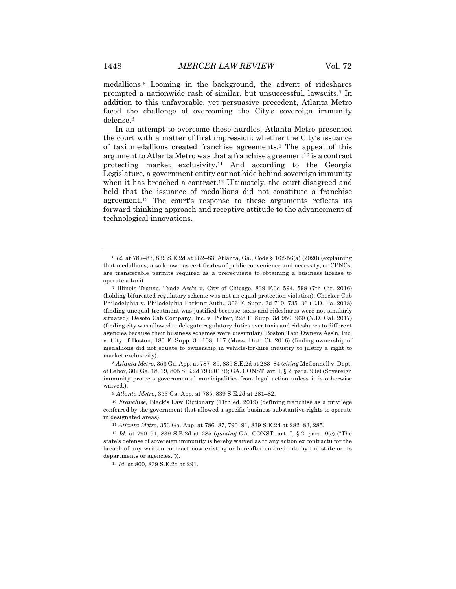medallions.6 Looming in the background, the advent of rideshares prompted a nationwide rash of similar, but unsuccessful, lawsuits.7 In addition to this unfavorable, yet persuasive precedent, Atlanta Metro faced the challenge of overcoming the City's sovereign immunity defense.8

In an attempt to overcome these hurdles, Atlanta Metro presented the court with a matter of first impression: whether the City's issuance of taxi medallions created franchise agreements.9 The appeal of this argument to Atlanta Metro was that a franchise agreement<sup>10</sup> is a contract protecting market exclusivity.11 And according to the Georgia Legislature, a government entity cannot hide behind sovereign immunity when it has breached a contract.12 Ultimately, the court disagreed and held that the issuance of medallions did not constitute a franchise agreement.13 The court's response to these arguments reflects its forward-thinking approach and receptive attitude to the advancement of technological innovations.

<sup>8</sup> *Atlanta Metro*, 353 Ga. App. at 787–89, 839 S.E.2d at 283–84 (*citing* McConnell v. Dept. of Labor, 302 Ga. 18, 19, 805 S.E.2d 79 (2017)); GA. CONST. art. I, § 2, para. 9 (e) (Sovereign immunity protects governmental municipalities from legal action unless it is otherwise waived.).

<sup>9</sup> *Atlanta Metro*, 353 Ga. App. at 785, 839 S.E.2d at 281–82.

<sup>10</sup> *Franchise,* Black's Law Dictionary (11th ed. 2019) (defining franchise as a privilege conferred by the government that allowed a specific business substantive rights to operate in designated areas).

<sup>11</sup> *Atlanta Metro*, 353 Ga. App. at 786–87, 790–91, 839 S.E.2d at 282–83, 285.

<sup>12</sup> *Id.* at 790–91, 839 S.E.2d at 285 (*quoting* GA. CONST. art. I, § 2, para. 9(c) ("The state's defense of sovereign immunity is hereby waived as to any action ex contractu for the breach of any written contract now existing or hereafter entered into by the state or its departments or agencies.")).

<sup>13</sup> *Id.* at 800, 839 S.E.2d at 291.

<sup>6</sup> *Id.* at 787–87, 839 S.E.2d at 282–83; Atlanta, Ga., Code § 162-56(a) (2020) (explaining that medallions, also known as certificates of public convenience and necessity, or CPNCs, are transferable permits required as a prerequisite to obtaining a business license to operate a taxi).

<sup>7</sup> Illinois Transp. Trade Ass'n v. City of Chicago, 839 F.3d 594, 598 (7th Cir. 2016) (holding bifurcated regulatory scheme was not an equal protection violation); Checker Cab Philadelphia v. Philadelphia Parking Auth., 306 F. Supp. 3d 710, 735–36 (E.D. Pa. 2018) (finding unequal treatment was justified because taxis and rideshares were not similarly situated); Desoto Cab Company, Inc. v. Picker, 228 F. Supp. 3d 950, 960 (N.D. Cal. 2017) (finding city was allowed to delegate regulatory duties over taxis and rideshares to different agencies because their business schemes were dissimilar); Boston Taxi Owners Ass'n, Inc. v. City of Boston, 180 F. Supp. 3d 108, 117 (Mass. Dist. Ct. 2016) (finding ownership of medallions did not equate to ownership in vehicle-for-hire industry to justify a right to market exclusivity).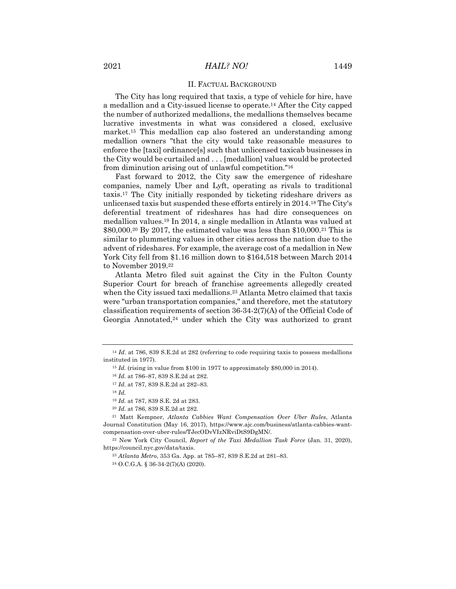#### II. FACTUAL BACKGROUND

The City has long required that taxis, a type of vehicle for hire, have a medallion and a City-issued license to operate.14 After the City capped the number of authorized medallions, the medallions themselves became lucrative investments in what was considered a closed, exclusive market.15 This medallion cap also fostered an understanding among medallion owners "that the city would take reasonable measures to enforce the [taxi] ordinance[s] such that unlicensed taxicab businesses in the City would be curtailed and . . . [medallion] values would be protected from diminution arising out of unlawful competition."16

Fast forward to 2012, the City saw the emergence of rideshare companies, namely Uber and Lyft, operating as rivals to traditional taxis.17 The City initially responded by ticketing rideshare drivers as unlicensed taxis but suspended these efforts entirely in 2014.18 The City's deferential treatment of rideshares has had dire consequences on medallion values.19 In 2014, a single medallion in Atlanta was valued at  $$80,000.^{20}$  By 2017, the estimated value was less than  $$10,000.^{21}$  This is similar to plummeting values in other cities across the nation due to the advent of rideshares. For example, the average cost of a medallion in New York City fell from \$1.16 million down to \$164,518 between March 2014 to November 2019.22

Atlanta Metro filed suit against the City in the Fulton County Superior Court for breach of franchise agreements allegedly created when the City issued taxi medallions.<sup>23</sup> Atlanta Metro claimed that taxis were "urban transportation companies," and therefore, met the statutory classification requirements of section 36-34-2(7)(A) of the Official Code of Georgia Annotated, $24$  under which the City was authorized to grant

<sup>22</sup> New York City Council, *Report of the Taxi Medallion Task Force* (Jan. 31, 2020), https://council.nyc.gov/data/taxis.

<sup>24</sup> O.C.G.A. § 36-34-2(7)(A) (2020).

<sup>&</sup>lt;sup>14</sup> *Id.* at 786, 839 S.E.2d at 282 (referring to code requiring taxis to possess medallions instituted in 1977).

<sup>15</sup> *Id.* (rising in value from \$100 in 1977 to approximately \$80,000 in 2014).

<sup>16</sup> *Id.* at 786–87, 839 S.E.2d at 282.

<sup>17</sup> *Id.* at 787, 839 S.E.2d at 282–83.

<sup>18</sup> *Id.*

<sup>19</sup> *Id.* at 787, 839 S.E. 2d at 283.

<sup>20</sup> *Id.* at 786, 839 S.E.2d at 282.

<sup>21</sup> Matt Kempner, *Atlanta Cabbies Want Compensation Over Uber Rules*, Atlanta Journal Constitution (May 16, 2017), https://www.ajc.com/business/atlanta-cabbies-wantcompensation-over-uber-rules/TJecODvVIzNRviDtS9DgMN/.

<sup>23</sup> *Atlanta Metro*, 353 Ga. App. at 785–87, 839 S.E.2d at 281–83.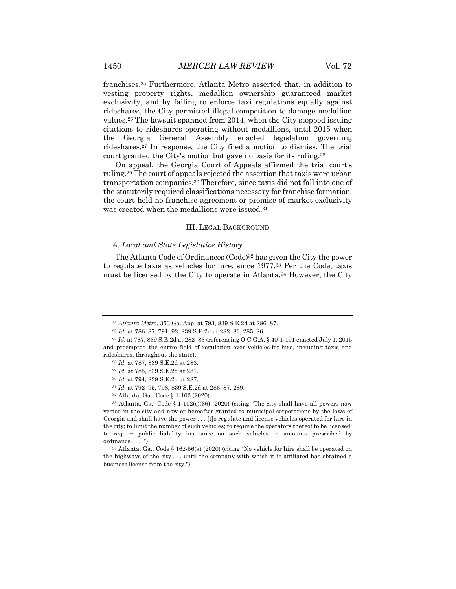franchises.25 Furthermore, Atlanta Metro asserted that, in addition to vesting property rights, medallion ownership guaranteed market exclusivity, and by failing to enforce taxi regulations equally against rideshares, the City permitted illegal competition to damage medallion values.26 The lawsuit spanned from 2014, when the City stopped issuing citations to rideshares operating without medallions, until 2015 when the Georgia General Assembly enacted legislation governing rideshares.27 In response, the City filed a motion to dismiss. The trial court granted the City's motion but gave no basis for its ruling.28

On appeal, the Georgia Court of Appeals affirmed the trial court's ruling.29 The court of appeals rejected the assertion that taxis were urban transportation companies.30 Therefore, since taxis did not fall into one of the statutorily required classifications necessary for franchise formation, the court held no franchise agreement or promise of market exclusivity was created when the medallions were issued.31

#### III. LEGAL BACKGROUND

#### *A. Local and State Legislative History*

The Atlanta Code of Ordinances (Code)<sup>32</sup> has given the City the power to regulate taxis as vehicles for hire, since 1977.33 Per the Code, taxis must be licensed by the City to operate in Atlanta.34 However, the City

 $33$  Atlanta, Ga., Code § 1-102(c)(36) (2020) (citing "The city shall have all powers now vested in the city and now or hereafter granted to municipal corporations by the laws of Georgia and shall have the power . . . [t]o regulate and license vehicles operated for hire in the city; to limit the number of such vehicles; to require the operators thereof to be licensed; to require public liability insurance on such vehicles in amounts prescribed by ordinance . . . .").

<sup>34</sup> Atlanta, Ga., Code § 162-56(a) (2020) (citing "No vehicle for hire shall be operated on the highways of the city . . . until the company with which it is affiliated has obtained a business license from the city.").

<sup>25</sup> *Atlanta Metro*, 353 Ga. App. at 793, 839 S.E.2d at 286–87.

<sup>26</sup> *Id.* at 786–87, 791–92, 839 S.E.2d at 282–83, 285–86.

<sup>27</sup> *Id.* at 787, 839 S.E.2d at 282–83 (referencing O.C.G.A. § 40-1-191 enacted July 1, 2015 and preempted the entire field of regulation over vehicles-for-hire, including taxis and rideshares, throughout the state).

<sup>28</sup> *Id.* at 787, 839 S.E.2d at 283.

<sup>29</sup> *Id.* at 785, 839 S.E.2d at 281.

<sup>30</sup> *Id.* at 794, 839 S.E.2d at 287.

<sup>31</sup> *Id.* at 792–95, 798, 839 S.E.2d at 286–87, 289.

<sup>32</sup> Atlanta, Ga., Code § 1-102 (2020).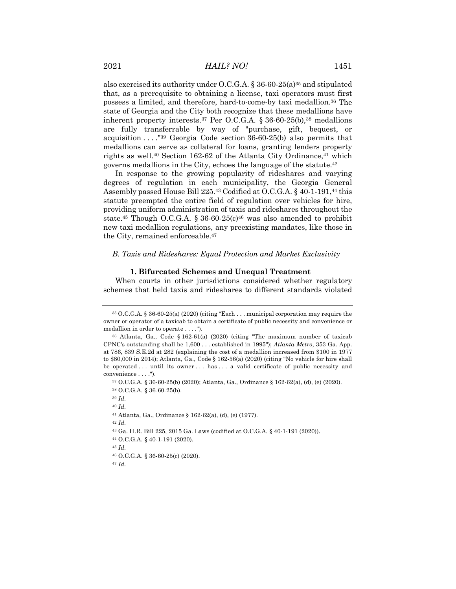also exercised its authority under O.C.G.A.  $\S 36-60-25(a)^{35}$  and stipulated that, as a prerequisite to obtaining a license, taxi operators must first possess a limited, and therefore, hard-to-come-by taxi medallion.36 The state of Georgia and the City both recognize that these medallions have inherent property interests.<sup>37</sup> Per O.C.G.A.  $\S 36-60-25(b)$ ,<sup>38</sup> medallions are fully transferrable by way of "purchase, gift, bequest, or acquisition . . . ."39 Georgia Code section 36-60-25(b) also permits that medallions can serve as collateral for loans, granting lenders property rights as well.<sup>40</sup> Section 162-62 of the Atlanta City Ordinance,<sup>41</sup> which governs medallions in the City, echoes the language of the statute.42

In response to the growing popularity of rideshares and varying degrees of regulation in each municipality, the Georgia General Assembly passed House Bill 225.43 Codified at O.C.G.A. § 40-1-191,44 this statute preempted the entire field of regulation over vehicles for hire, providing uniform administration of taxis and rideshares throughout the state.<sup>45</sup> Though O.C.G.A. § 36-60-25 $(c)$ <sup>46</sup> was also amended to prohibit new taxi medallion regulations, any preexisting mandates, like those in the City, remained enforceable.47

#### *B. Taxis and Rideshares: Equal Protection and Market Exclusivity*

#### **1. Bifurcated Schemes and Unequal Treatment**

When courts in other jurisdictions considered whether regulatory schemes that held taxis and rideshares to different standards violated

<sup>39</sup> *Id.*

<sup>40</sup> *Id.*

<sup>41</sup> Atlanta, Ga., Ordinance § 162-62(a), (d), (e) (1977).

<sup>42</sup> *Id.*

<sup>44</sup> O.C.G.A. § 40-1-191 (2020).

<sup>45</sup> *Id.*

<sup>35</sup> O.C.G.A. § 36-60-25(a) (2020) (citing "Each . . . municipal corporation may require the owner or operator of a taxicab to obtain a certificate of public necessity and convenience or medallion in order to operate . . . .").

<sup>36</sup> Atlanta, Ga., Code § 162-61(a) (2020) (citing "The maximum number of taxicab CPNC's outstanding shall be 1,600 . . . established in 1995"); *Atlanta Metro*, 353 Ga. App. at 786, 839 S.E.2d at 282 (explaining the cost of a medallion increased from \$100 in 1977 to \$80,000 in 2014); Atlanta, Ga., Code § 162-56(a) (2020) (citing "No vehicle for hire shall be operated ... until its owner ... has ... a valid certificate of public necessity and convenience . . . .").

<sup>37</sup> O.C.G.A. § 36-60-25(b) (2020); Atlanta, Ga., Ordinance § 162-62(a), (d), (e) (2020).

<sup>38</sup> O.C.G.A. § 36-60-25(b).

<sup>43</sup> Ga. H.R. Bill 225, 2015 Ga. Laws (codified at O.C.G.A. § 40-1-191 (2020)).

<sup>46</sup> O.C.G.A. § 36-60-25(c) (2020).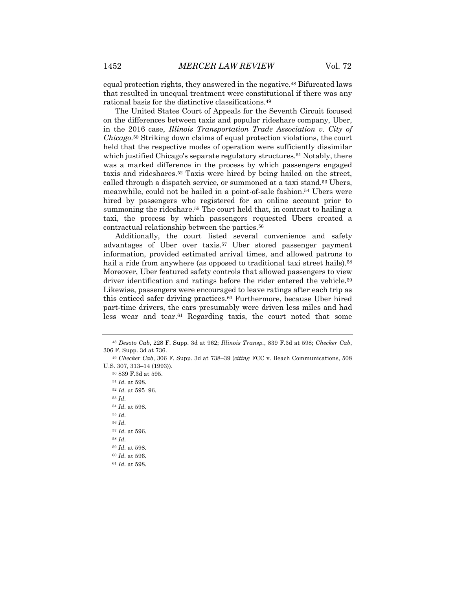equal protection rights, they answered in the negative.48 Bifurcated laws that resulted in unequal treatment were constitutional if there was any rational basis for the distinctive classifications.49

The United States Court of Appeals for the Seventh Circuit focused on the differences between taxis and popular rideshare company, Uber, in the 2016 case, *Illinois Transportation Trade Association v. City of Chicago*.50 Striking down claims of equal protection violations, the court held that the respective modes of operation were sufficiently dissimilar which justified Chicago's separate regulatory structures.<sup>51</sup> Notably, there was a marked difference in the process by which passengers engaged taxis and rideshares.52 Taxis were hired by being hailed on the street, called through a dispatch service, or summoned at a taxi stand.53 Ubers, meanwhile, could not be hailed in a point-of-sale fashion.54 Ubers were hired by passengers who registered for an online account prior to summoning the rideshare.<sup>55</sup> The court held that, in contrast to hailing a taxi, the process by which passengers requested Ubers created a contractual relationship between the parties.56

Additionally, the court listed several convenience and safety advantages of Uber over taxis.57 Uber stored passenger payment information, provided estimated arrival times, and allowed patrons to hail a ride from anywhere (as opposed to traditional taxi street hails).<sup>58</sup> Moreover, Uber featured safety controls that allowed passengers to view driver identification and ratings before the rider entered the vehicle.<sup>59</sup> Likewise, passengers were encouraged to leave ratings after each trip as this enticed safer driving practices.60 Furthermore, because Uber hired part-time drivers, the cars presumably were driven less miles and had less wear and tear.61 Regarding taxis, the court noted that some

<sup>48</sup> *Desoto Cab*, 228 F. Supp. 3d at 962; *Illinois Transp.*, 839 F.3d at 598; *Checker Cab*, 306 F. Supp. 3d at 736.

<sup>49</sup> *Checker Cab*, 306 F. Supp. 3d at 738–39 (*citing* FCC v. Beach Communications, 508 U.S. 307, 313–14 (1993)).

<sup>50</sup> 839 F.3d at 595. <sup>51</sup> *Id.* at 598. <sup>52</sup> *Id.* at 595–96. <sup>53</sup> *Id.* <sup>54</sup> *Id.* at 598. <sup>55</sup> *Id.* <sup>56</sup> *Id.* <sup>57</sup> *Id.* at 596. <sup>58</sup> *Id.* <sup>59</sup> *Id.* at 598. <sup>60</sup> *Id.* at 596. <sup>61</sup> *Id.* at 598.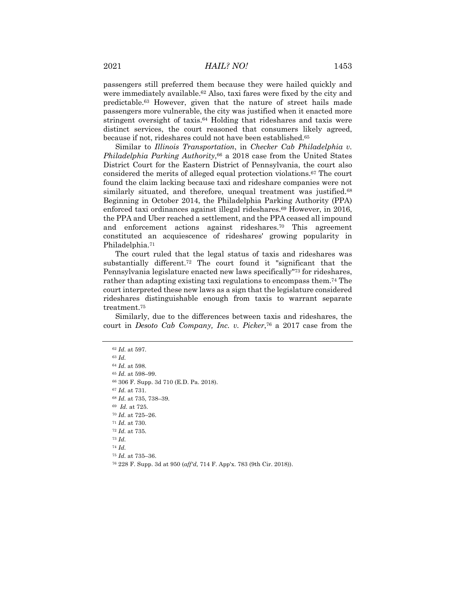passengers still preferred them because they were hailed quickly and were immediately available.62 Also, taxi fares were fixed by the city and predictable.63 However, given that the nature of street hails made passengers more vulnerable, the city was justified when it enacted more stringent oversight of taxis.64 Holding that rideshares and taxis were distinct services, the court reasoned that consumers likely agreed, because if not, rideshares could not have been established.65

Similar to *Illinois Transportation*, in *Checker Cab Philadelphia v. Philadelphia Parking Authority*,<sup>66</sup> a 2018 case from the United States District Court for the Eastern District of Pennsylvania, the court also considered the merits of alleged equal protection violations.67 The court found the claim lacking because taxi and rideshare companies were not similarly situated, and therefore, unequal treatment was justified.<sup>68</sup> Beginning in October 2014, the Philadelphia Parking Authority (PPA) enforced taxi ordinances against illegal rideshares.69 However, in 2016, the PPA and Uber reached a settlement, and the PPA ceased all impound and enforcement actions against rideshares.70 This agreement constituted an acquiescence of rideshares' growing popularity in Philadelphia.71

The court ruled that the legal status of taxis and rideshares was substantially different.72 The court found it "significant that the Pennsylvania legislature enacted new laws specifically"73 for rideshares, rather than adapting existing taxi regulations to encompass them.74 The court interpreted these new laws as a sign that the legislature considered rideshares distinguishable enough from taxis to warrant separate treatment.75

Similarly, due to the differences between taxis and rideshares, the court in *Desoto Cab Company, Inc. v. Picker*,76 a 2017 case from the

 *Id.* at 597. <sup>63</sup> *Id. Id.* at 598. *Id.* at 598–99. 306 F. Supp. 3d 710 (E.D. Pa. 2018). *Id.* at 731. *Id.* at 735, 738–39. *Id.* at 725. *Id.* at 725–26. *Id.* at 730. *Id.* at 735. <sup>73</sup> *Id.* <sup>74</sup> *Id. Id.* at 735–36. 228 F. Supp. 3d at 950 (*aff'd,* 714 F. App'x. 783 (9th Cir. 2018)).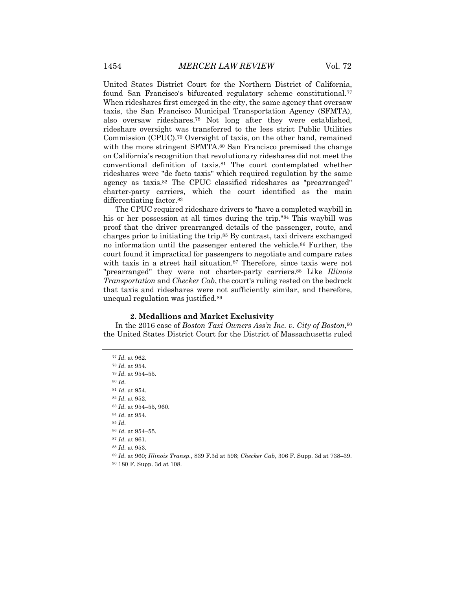United States District Court for the Northern District of California, found San Francisco's bifurcated regulatory scheme constitutional.<sup>77</sup> When rideshares first emerged in the city, the same agency that oversaw taxis, the San Francisco Municipal Transportation Agency (SFMTA), also oversaw rideshares.78 Not long after they were established, rideshare oversight was transferred to the less strict Public Utilities Commission (CPUC).79 Oversight of taxis, on the other hand, remained with the more stringent SFMTA.<sup>80</sup> San Francisco premised the change on California's recognition that revolutionary rideshares did not meet the conventional definition of taxis.81 The court contemplated whether rideshares were "de facto taxis" which required regulation by the same agency as taxis.82 The CPUC classified rideshares as "prearranged" charter-party carriers, which the court identified as the main differentiating factor.83

The CPUC required rideshare drivers to "have a completed waybill in his or her possession at all times during the trip."84 This waybill was proof that the driver prearranged details of the passenger, route, and charges prior to initiating the trip.85 By contrast, taxi drivers exchanged no information until the passenger entered the vehicle.<sup>86</sup> Further, the court found it impractical for passengers to negotiate and compare rates with taxis in a street hail situation.<sup>87</sup> Therefore, since taxis were not "prearranged" they were not charter-party carriers.88 Like *Illinois Transportation* and *Checker Cab*, the court's ruling rested on the bedrock that taxis and rideshares were not sufficiently similar, and therefore, unequal regulation was justified.89

#### **2. Medallions and Market Exclusivity**

In the 2016 case of *Boston Taxi Owners Ass'n Inc. v. City of Boston*,90 the United States District Court for the District of Massachusetts ruled

 *Id.* at 962. *Id.* at 954. *Id.* at 954–55. <sup>80</sup> *Id. Id.* at 954. *Id.* at 952. *Id.* at 954–55, 960. *Id.* at 954. <sup>85</sup> *Id. Id.* at 954–55. *Id.* at 961. *Id.* at 953. *Id.* at 960; *Illinois Transp.*, 839 F.3d at 598; *Checker Cab*, 306 F. Supp. 3d at 738–39. 180 F. Supp. 3d at 108.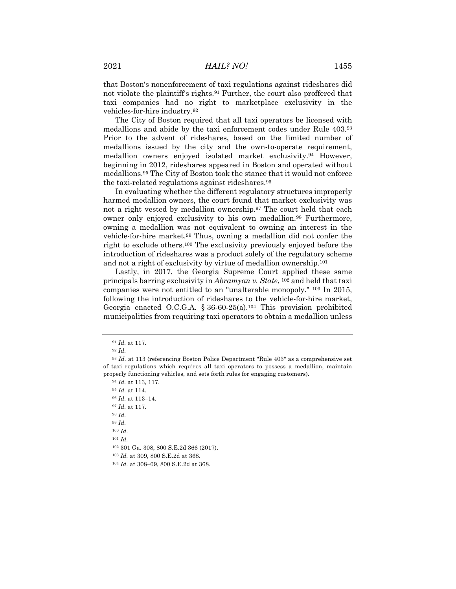that Boston's nonenforcement of taxi regulations against rideshares did not violate the plaintiff's rights.<sup>91</sup> Further, the court also proffered that taxi companies had no right to marketplace exclusivity in the vehicles-for-hire industry.92

The City of Boston required that all taxi operators be licensed with medallions and abide by the taxi enforcement codes under Rule 403.93 Prior to the advent of rideshares, based on the limited number of medallions issued by the city and the own-to-operate requirement, medallion owners enjoyed isolated market exclusivity.94 However, beginning in 2012, rideshares appeared in Boston and operated without medallions.95 The City of Boston took the stance that it would not enforce the taxi-related regulations against rideshares.96

In evaluating whether the different regulatory structures improperly harmed medallion owners, the court found that market exclusivity was not a right vested by medallion ownership.97 The court held that each owner only enjoyed exclusivity to his own medallion.98 Furthermore, owning a medallion was not equivalent to owning an interest in the vehicle-for-hire market.99 Thus, owning a medallion did not confer the right to exclude others.100 The exclusivity previously enjoyed before the introduction of rideshares was a product solely of the regulatory scheme and not a right of exclusivity by virtue of medallion ownership.101

Lastly, in 2017, the Georgia Supreme Court applied these same principals barring exclusivity in *Abramyan v. State*, 102 and held that taxi companies were not entitled to an "unalterable monopoly." 103 In 2015, following the introduction of rideshares to the vehicle-for-hire market, Georgia enacted O.C.G.A. § 36-60-25(a).104 This provision prohibited municipalities from requiring taxi operators to obtain a medallion unless

<sup>91</sup> *Id.* at 117.

<sup>92</sup> *Id.*

<sup>93</sup> *Id.* at 113 (referencing Boston Police Department "Rule 403" as a comprehensive set of taxi regulations which requires all taxi operators to possess a medallion, maintain properly functioning vehicles, and sets forth rules for engaging customers).

<sup>94</sup> *Id.* at 113, 117.

<sup>95</sup> *Id.* at 114.

<sup>96</sup> *Id.* at 113–14.

<sup>97</sup> *Id.* at 117.

<sup>98</sup> *Id.*

<sup>99</sup> *Id.*

<sup>100</sup> *Id.*

<sup>101</sup> *Id.*

<sup>102</sup> 301 Ga. 308, 800 S.E.2d 366 (2017).

<sup>103</sup> *Id.* at 309, 800 S.E.2d at 368.

<sup>104</sup> *Id.* at 308–09, 800 S.E.2d at 368.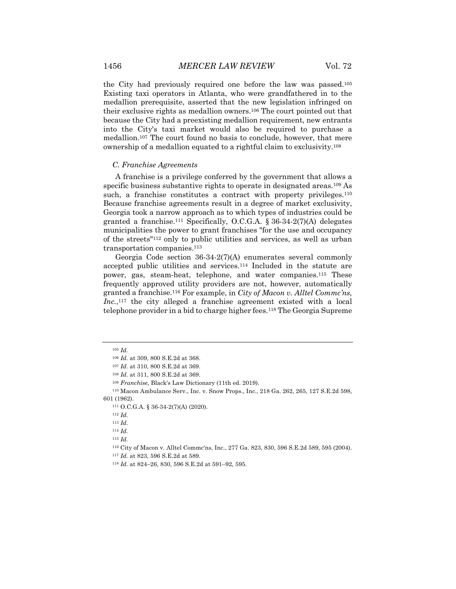the City had previously required one before the law was passed.105 Existing taxi operators in Atlanta, who were grandfathered in to the medallion prerequisite, asserted that the new legislation infringed on their exclusive rights as medallion owners.106 The court pointed out that because the City had a preexisting medallion requirement, new entrants into the City's taxi market would also be required to purchase a medallion.107 The court found no basis to conclude, however, that mere ownership of a medallion equated to a rightful claim to exclusivity.108

#### *C. Franchise Agreements*

A franchise is a privilege conferred by the government that allows a specific business substantive rights to operate in designated areas.<sup>109</sup> As such, a franchise constitutes a contract with property privileges.<sup>110</sup> Because franchise agreements result in a degree of market exclusivity, Georgia took a narrow approach as to which types of industries could be granted a franchise.<sup>111</sup> Specifically, O.C.G.A. § 36-34-2(7)(A) delegates municipalities the power to grant franchises "for the use and occupancy of the streets"112 only to public utilities and services, as well as urban transportation companies.<sup>113</sup>

Georgia Code section 36-34-2(7)(A) enumerates several commonly accepted public utilities and services.114 Included in the statute are power, gas, steam-heat, telephone, and water companies.115 These frequently approved utility providers are not, however, automatically granted a franchise.116 For example, in *City of Macon v. Alltel Commc'ns, Inc.*,117 the city alleged a franchise agreement existed with a local telephone provider in a bid to charge higher fees.118 The Georgia Supreme

<sup>105</sup> *Id.*

<sup>106</sup> *Id.* at 309, 800 S.E.2d at 368.

<sup>107</sup> *Id.* at 310, 800 S.E.2d at 369.

<sup>108</sup> *Id.* at 311, 800 S.E.2d at 369.

<sup>109</sup> *Franchise,* Black's Law Dictionary (11th ed. 2019).

<sup>110</sup> Macon Ambulance Serv., Inc. v. Snow Props., Inc., 218 Ga. 262, 265, 127 S.E.2d 598, 601 (1962).

<sup>111</sup> O.C.G.A. § 36-34-2(7)(A) (2020).

<sup>112</sup> *Id.*

<sup>113</sup> *Id.*

<sup>115</sup> *Id.*

<sup>116</sup> City of Macon v. Alltel Commc'ns, Inc., 277 Ga. 823, 830, 596 S.E.2d 589, 595 (2004).

<sup>117</sup> *Id.* at 823, 596 S.E.2d at 589.

<sup>118</sup> *Id.* at 824–26, 830, 596 S.E.2d at 591–92, 595.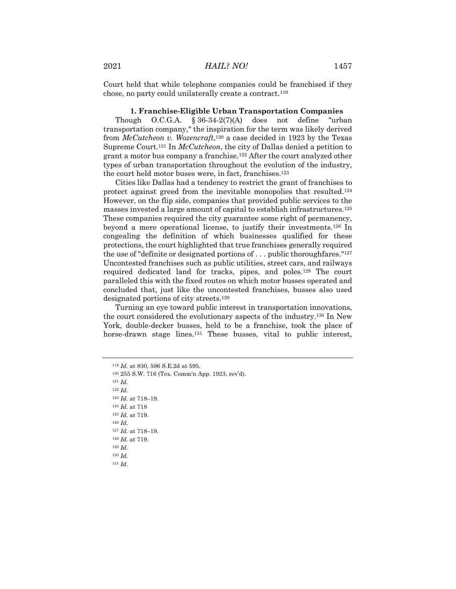chose, no party could unilaterally create a contract.119

Court held that while telephone companies could be franchised if they

#### **1. Franchise-Eligible Urban Transportation Companies**

Though O.C.G.A. § 36-34-2(7)(A) does not define "urban transportation company," the inspiration for the term was likely derived from *McCutcheon v. Wozencraft*,120 a case decided in 1923 by the Texas Supreme Court.121 In *McCutcheon*, the city of Dallas denied a petition to grant a motor bus company a franchise.122 After the court analyzed other types of urban transportation throughout the evolution of the industry, the court held motor buses were, in fact, franchises.123

Cities like Dallas had a tendency to restrict the grant of franchises to protect against greed from the inevitable monopolies that resulted.124 However, on the flip side, companies that provided public services to the masses invested a large amount of capital to establish infrastructures.125 These companies required the city guarantee some right of permanency, beyond a mere operational license, to justify their investments.126 In congealing the definition of which businesses qualified for these protections, the court highlighted that true franchises generally required the use of "definite or designated portions of . . . public thoroughfares."127 Uncontested franchises such as public utilities, street cars, and railways required dedicated land for tracks, pipes, and poles.128 The court paralleled this with the fixed routes on which motor busses operated and concluded that, just like the uncontested franchises, busses also used designated portions of city streets.129

Turning an eye toward public interest in transportation innovations, the court considered the evolutionary aspects of the industry.130 In New York, double-decker busses, held to be a franchise, took the place of horse-drawn stage lines.<sup>131</sup> These busses, vital to public interest,

<sup>121</sup> *Id.*

<sup>122</sup> *Id.*

<sup>123</sup> *Id.* at 718–19.

<sup>124</sup> *Id.* at 718

<sup>125</sup> *Id.* at 719.

<sup>126</sup> *Id.*

<sup>127</sup> *Id.* at 718–19.

<sup>128</sup> *Id.* at 719.

<sup>129</sup> *Id.*

<sup>130</sup> *Id.*

<sup>119</sup> *Id.* at 830, 596 S.E.2d at 595.

<sup>120</sup> 255 S.W. 716 (Tex. Comm'n App. 1923, rev'd).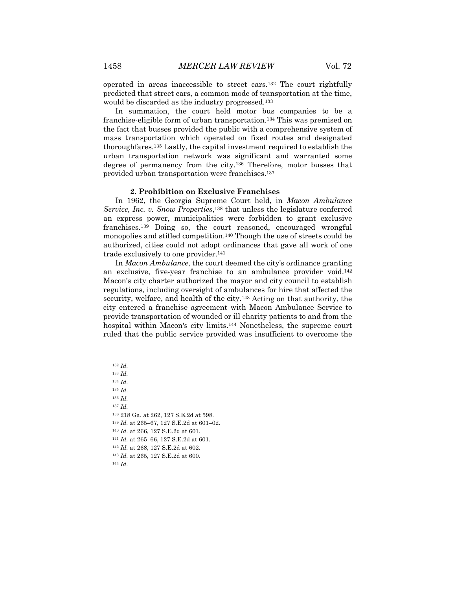operated in areas inaccessible to street cars.132 The court rightfully predicted that street cars, a common mode of transportation at the time, would be discarded as the industry progressed.133

In summation, the court held motor bus companies to be a franchise-eligible form of urban transportation.134 This was premised on the fact that busses provided the public with a comprehensive system of mass transportation which operated on fixed routes and designated thoroughfares.135 Lastly, the capital investment required to establish the urban transportation network was significant and warranted some degree of permanency from the city.136 Therefore, motor busses that provided urban transportation were franchises.137

#### **2. Prohibition on Exclusive Franchises**

In 1962, the Georgia Supreme Court held, in *Macon Ambulance Service, Inc. v. Snow Properties*,138 that unless the legislature conferred an express power, municipalities were forbidden to grant exclusive franchises.139 Doing so, the court reasoned, encouraged wrongful monopolies and stifled competition.140 Though the use of streets could be authorized, cities could not adopt ordinances that gave all work of one trade exclusively to one provider.141

In *Macon Ambulance*, the court deemed the city's ordinance granting an exclusive, five-year franchise to an ambulance provider void.142 Macon's city charter authorized the mayor and city council to establish regulations, including oversight of ambulances for hire that affected the security, welfare, and health of the city.<sup>143</sup> Acting on that authority, the city entered a franchise agreement with Macon Ambulance Service to provide transportation of wounded or ill charity patients to and from the hospital within Macon's city limits.144 Nonetheless, the supreme court ruled that the public service provided was insufficient to overcome the

<sup>132</sup> *Id.*

<sup>133</sup> *Id.*

<sup>134</sup> *Id.*

<sup>135</sup> *Id.*

<sup>136</sup> *Id.*

<sup>137</sup> *Id.*

<sup>138</sup> 218 Ga. at 262, 127 S.E.2d at 598.

<sup>139</sup> *Id.* at 265–67, 127 S.E.2d at 601–02.

<sup>140</sup> *Id.* at 266, 127 S.E.2d at 601.

<sup>141</sup> *Id.* at 265–66, 127 S.E.2d at 601.

<sup>142</sup> *Id.* at 268, 127 S.E.2d at 602.

<sup>143</sup> *Id.* at 265, 127 S.E.2d at 600.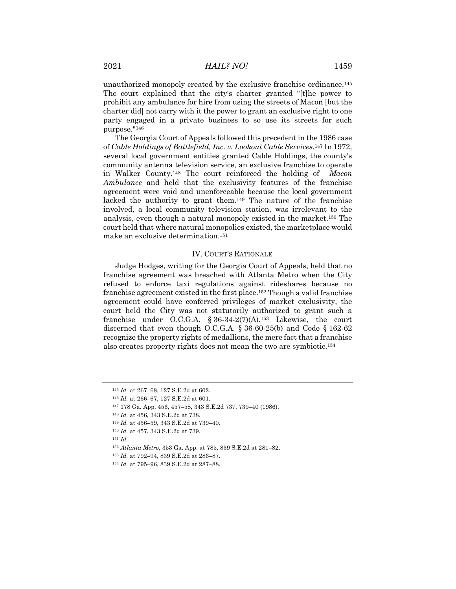party engaged in a private business to so use its streets for such

purpose."146 The Georgia Court of Appeals followed this precedent in the 1986 case of *Cable Holdings of Battlefield, Inc. v. Lookout Cable Services*.147 In 1972, several local government entities granted Cable Holdings, the county's community antenna television service, an exclusive franchise to operate in Walker County.148 The court reinforced the holding of *Macon Ambulance* and held that the exclusivity features of the franchise agreement were void and unenforceable because the local government lacked the authority to grant them.149 The nature of the franchise involved, a local community television station, was irrelevant to the analysis, even though a natural monopoly existed in the market.150 The court held that where natural monopolies existed, the marketplace would make an exclusive determination.151

#### IV. COURT'S RATIONALE

Judge Hodges, writing for the Georgia Court of Appeals, held that no franchise agreement was breached with Atlanta Metro when the City refused to enforce taxi regulations against rideshares because no franchise agreement existed in the first place.152 Though a valid franchise agreement could have conferred privileges of market exclusivity, the court held the City was not statutorily authorized to grant such a franchise under O.C.G.A. § 36-34-2(7)(A).<sup>153</sup> Likewise, the court discerned that even though O.C.G.A. § 36-60-25(b) and Code § 162-62 recognize the property rights of medallions, the mere fact that a franchise also creates property rights does not mean the two are symbiotic.154

<sup>145</sup> *Id.* at 267–68, 127 S.E.2d at 602.

<sup>146</sup> *Id.* at 266–67, 127 S.E.2d at 601.

<sup>147</sup> 178 Ga. App. 456, 457–58, 343 S.E.2d 737, 739–40 (1986).

<sup>148</sup> *Id.* at 456, 343 S.E.2d at 738.

<sup>149</sup> *Id.* at 456–59, 343 S.E.2d at 739–40.

<sup>150</sup> *Id.* at 457, 343 S.E.2d at 739.

<sup>152</sup> *Atlanta Metro*, 353 Ga. App. at 785, 839 S.E.2d at 281–82.

<sup>153</sup> *Id.* at 792–94, 839 S.E.2d at 286–87.

<sup>154</sup> *Id.* at 795–96, 839 S.E.2d at 287–88.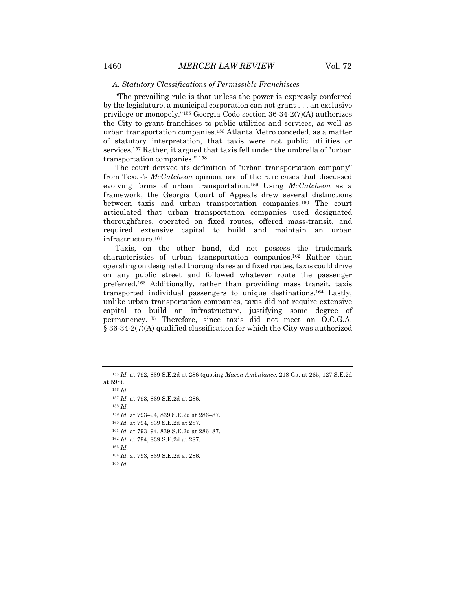#### *A. Statutory Classifications of Permissible Franchisees*

"The prevailing rule is that unless the power is expressly conferred by the legislature, a municipal corporation can not grant . . . an exclusive privilege or monopoly."155 Georgia Code section 36-34-2(7)(A) authorizes the City to grant franchises to public utilities and services, as well as urban transportation companies.156 Atlanta Metro conceded, as a matter of statutory interpretation, that taxis were not public utilities or services.157 Rather, it argued that taxis fell under the umbrella of "urban transportation companies." 158

The court derived its definition of "urban transportation company" from Texas's *McCutcheon* opinion, one of the rare cases that discussed evolving forms of urban transportation.159 Using *McCutcheon* as a framework, the Georgia Court of Appeals drew several distinctions between taxis and urban transportation companies.160 The court articulated that urban transportation companies used designated thoroughfares, operated on fixed routes, offered mass-transit, and required extensive capital to build and maintain an urban infrastructure.161

Taxis, on the other hand, did not possess the trademark characteristics of urban transportation companies.162 Rather than operating on designated thoroughfares and fixed routes, taxis could drive on any public street and followed whatever route the passenger preferred.163 Additionally, rather than providing mass transit, taxis transported individual passengers to unique destinations.164 Lastly, unlike urban transportation companies, taxis did not require extensive capital to build an infrastructure, justifying some degree of permanency.165 Therefore, since taxis did not meet an O.C.G.A. § 36-34-2(7)(A) qualified classification for which the City was authorized

<sup>158</sup> *Id.*

- <sup>159</sup> *Id.* at 793–94, 839 S.E.2d at 286–87.
- <sup>160</sup> *Id.* at 794, 839 S.E.2d at 287.
- <sup>161</sup> *Id.* at 793–94, 839 S.E.2d at 286–87.
- <sup>162</sup> *Id.* at 794, 839 S.E.2d at 287.
- <sup>163</sup> *Id.*
- <sup>164</sup> *Id.* at 793, 839 S.E.2d at 286.

<sup>155</sup> *Id.* at 792, 839 S.E.2d at 286 (quoting *Macon Ambulance*, 218 Ga. at 265, 127 S.E.2d at 598).

<sup>156</sup> *Id.*

<sup>157</sup> *Id.* at 793, 839 S.E.2d at 286.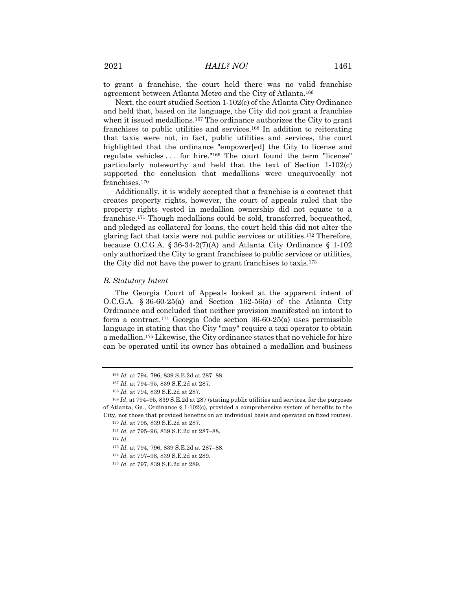to grant a franchise, the court held there was no valid franchise agreement between Atlanta Metro and the City of Atlanta.166

Next, the court studied Section 1-102(c) of the Atlanta City Ordinance and held that, based on its language, the City did not grant a franchise when it issued medallions.<sup>167</sup> The ordinance authorizes the City to grant franchises to public utilities and services.168 In addition to reiterating that taxis were not, in fact, public utilities and services, the court highlighted that the ordinance "empower[ed] the City to license and regulate vehicles . . . for hire."169 The court found the term "license" particularly noteworthy and held that the text of Section 1-102(c) supported the conclusion that medallions were unequivocally not franchises.<sup>170</sup>

Additionally, it is widely accepted that a franchise is a contract that creates property rights, however, the court of appeals ruled that the property rights vested in medallion ownership did not equate to a franchise.171 Though medallions could be sold, transferred, bequeathed, and pledged as collateral for loans, the court held this did not alter the glaring fact that taxis were not public services or utilities.172 Therefore, because O.C.G.A. § 36-34-2(7)(A) and Atlanta City Ordinance § 1-102 only authorized the City to grant franchises to public services or utilities, the City did not have the power to grant franchises to taxis.173

#### *B. Statutory Intent*

The Georgia Court of Appeals looked at the apparent intent of O.C.G.A.  $\S 36-60-25(a)$  and Section 162-56(a) of the Atlanta City Ordinance and concluded that neither provision manifested an intent to form a contract.174 Georgia Code section 36-60-25(a) uses permissible language in stating that the City "may" require a taxi operator to obtain a medallion.175 Likewise, the City ordinance states that no vehicle for hire can be operated until its owner has obtained a medallion and business

<sup>166</sup> *Id.* at 794, 796, 839 S.E.2d at 287–88.

<sup>167</sup> *Id.* at 794–95, 839 S.E.2d at 287.

<sup>168</sup> *Id.* at 794, 839 S.E.2d at 287.

<sup>169</sup> *Id*. at 794–95, 839 S.E.2d at 287 (stating public utilities and services, for the purposes of Atlanta, Ga., Ordinance  $\S$  1-102(c), provided a comprehensive system of benefits to the City, not those that provided benefits on an individual basis and operated on fixed routes).

<sup>170</sup> *Id.* at 795, 839 S.E.2d at 287.

<sup>171</sup> *Id.* at 795–96, 839 S.E.2d at 287–88.

<sup>173</sup> *Id.* at 794, 796, 839 S.E.2d at 287–88.

<sup>174</sup> *Id.* at 797–98, 839 S.E.2d at 289.

<sup>175</sup> *Id.* at 797, 839 S.E.2d at 289.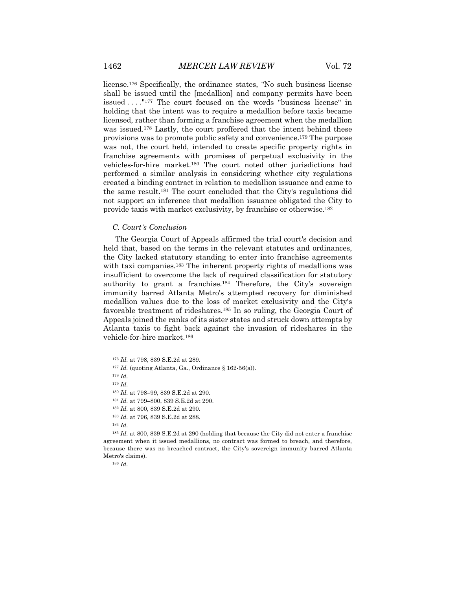license.176 Specifically, the ordinance states, "No such business license shall be issued until the [medallion] and company permits have been issued . . . ."177 The court focused on the words "business license" in holding that the intent was to require a medallion before taxis became licensed, rather than forming a franchise agreement when the medallion was issued.178 Lastly, the court proffered that the intent behind these provisions was to promote public safety and convenience.179 The purpose was not, the court held, intended to create specific property rights in franchise agreements with promises of perpetual exclusivity in the vehicles-for-hire market.180 The court noted other jurisdictions had performed a similar analysis in considering whether city regulations created a binding contract in relation to medallion issuance and came to the same result.181 The court concluded that the City's regulations did not support an inference that medallion issuance obligated the City to provide taxis with market exclusivity, by franchise or otherwise.182

#### *C. Court's Conclusion*

The Georgia Court of Appeals affirmed the trial court's decision and held that, based on the terms in the relevant statutes and ordinances, the City lacked statutory standing to enter into franchise agreements with taxi companies.<sup>183</sup> The inherent property rights of medallions was insufficient to overcome the lack of required classification for statutory authority to grant a franchise.184 Therefore, the City's sovereign immunity barred Atlanta Metro's attempted recovery for diminished medallion values due to the loss of market exclusivity and the City's favorable treatment of rideshares.185 In so ruling, the Georgia Court of Appeals joined the ranks of its sister states and struck down attempts by Atlanta taxis to fight back against the invasion of rideshares in the vehicle-for-hire market.186

<sup>184</sup> *Id.*

<sup>185</sup> *Id.* at 800, 839 S.E.2d at 290 (holding that because the City did not enter a franchise agreement when it issued medallions, no contract was formed to breach, and therefore, because there was no breached contract, the City's sovereign immunity barred Atlanta Metro's claims).

<sup>176</sup> *Id.* at 798, 839 S.E.2d at 289.

<sup>177</sup> *Id.* (quoting Atlanta, Ga., Ordinance § 162-56(a)).

<sup>178</sup> *Id.*

<sup>179</sup> *Id.*

<sup>180</sup> *Id.* at 798–99, 839 S.E.2d at 290.

<sup>181</sup> *Id.* at 799–800, 839 S.E.2d at 290.

<sup>182</sup> *Id.* at 800, 839 S.E.2d at 290.

<sup>183</sup> *Id.* at 796, 839 S.E.2d at 288.